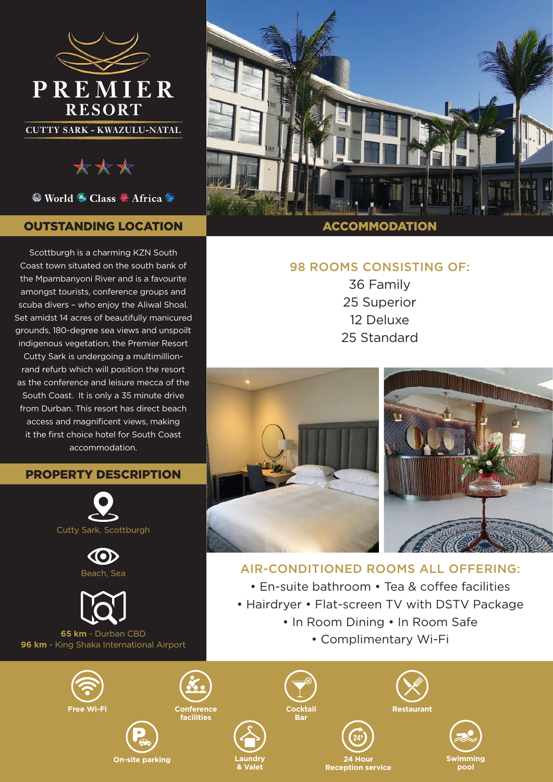

\*\*\*

● World ● Class ● Africa ●

# OUTSTANDING LOCATION

Scottburgh is a charming KZN South Coast town situated on the south bank of the Mpambanyoni River and is a favourite amongst tourists, conference groups and scuba divers – who enjoy the Aliwal Shoal. Set amidst 14 acres of beautifully manicured grounds, 180-degree sea views and unspoilt indigenous vegetation, the Premier Resort Cutty Sark is undergoing a multimillionrand refurb which will position the resort as the conference and leisure mecca of the South Coast. It is only a 35 minute drive from Durban. This resort has direct beach access and magnificent views, making it the first choice hotel for South Coast accommodation.

#### PROPERTY DESCRIPTION







**65 km** - Durban CBD **96 km** - King Shaka International Airport





**Laundry & Valet**

**Conference facilities**

Cockt<br>Bar



#### **ACCOMMODATION**

# 98 ROOMS CONSISTING OF:

36 Family 25 Superior 12 Deluxe 25 Standard



# AIR-CONDITIONED ROOMS ALL OFFERING:

• En-suite bathroom • Tea & coffee facilities

- Hairdryer Flat-screen TV with DSTV Package
	- In Room Dining In Room Safe
		- Complimentary Wi-Fi



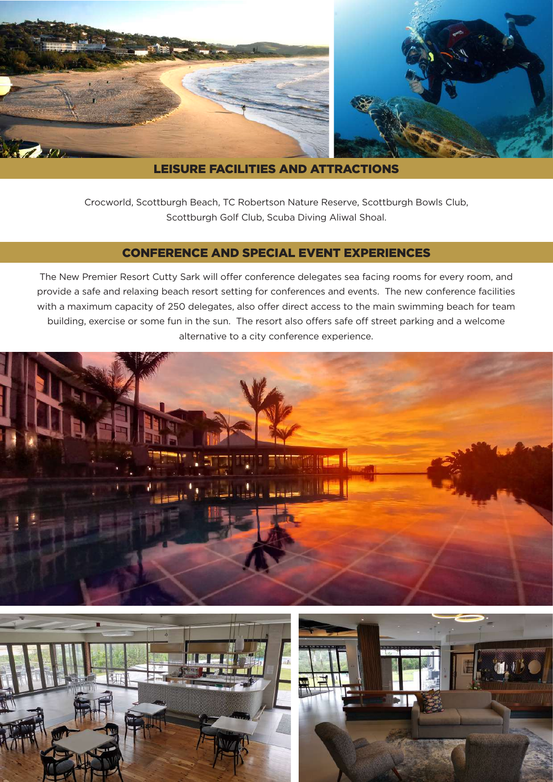

### LEISURE FACILITIES AND ATTRACTIONS

Crocworld, Scottburgh Beach, TC Robertson Nature Reserve, Scottburgh Bowls Club, Scottburgh Golf Club, Scuba Diving Aliwal Shoal.

### CONFERENCE AND SPECIAL EVENT EXPERIENCES

The New Premier Resort Cutty Sark will offer conference delegates sea facing rooms for every room, and provide a safe and relaxing beach resort setting for conferences and events. The new conference facilities with a maximum capacity of 250 delegates, also offer direct access to the main swimming beach for team building, exercise or some fun in the sun. The resort also offers safe off street parking and a welcome alternative to a city conference experience.